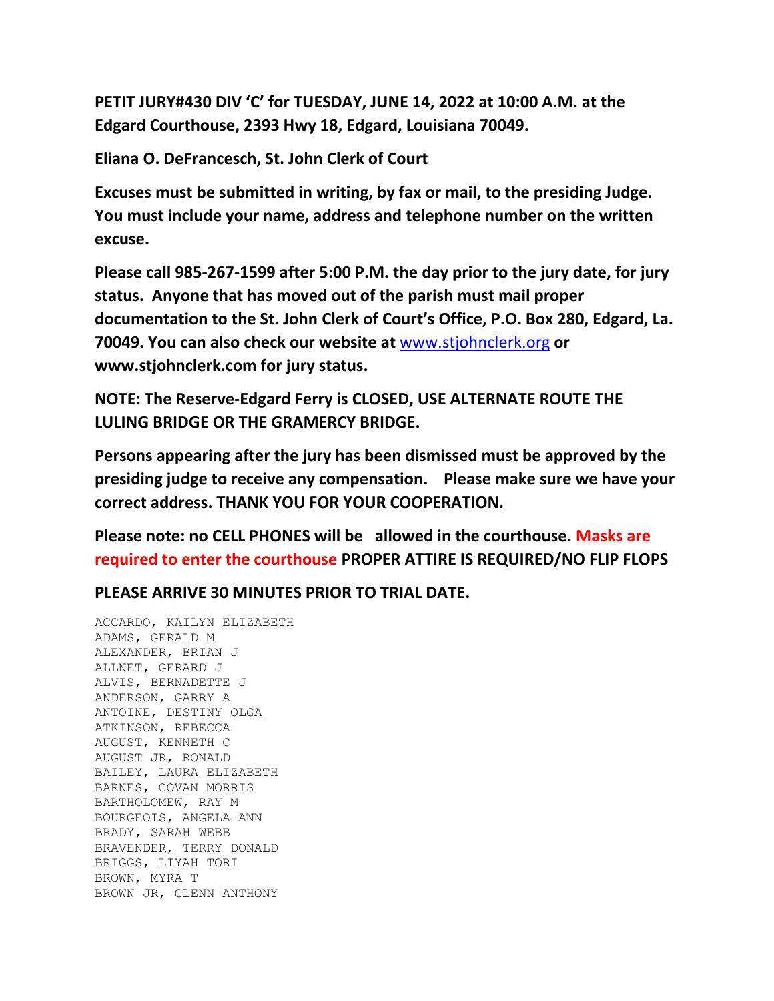**PETIT JURY#430 DIV 'C' for TUESDAY, JUNE 14, 2022 at 10:00 A.M. at the Edgard Courthouse, 2393 Hwy 18, Edgard, Louisiana 70049.**

**Eliana O. DeFrancesch, St. John Clerk of Court**

**Excuses must be submitted in writing, by fax or mail, to the presiding Judge. You must include your name, address and telephone number on the written excuse.**

**Please call 985-267-1599 after 5:00 P.M. the day prior to the jury date, for jury status. Anyone that has moved out of the parish must mail proper documentation to the St. John Clerk of Court's Office, P.O. Box 280, Edgard, La. 70049. You can also check our website at** [www.stjohnclerk.org](http://www.stjohnclerk.org/) **or www.stjohnclerk.com for jury status.**

**NOTE: The Reserve-Edgard Ferry is CLOSED, USE ALTERNATE ROUTE THE LULING BRIDGE OR THE GRAMERCY BRIDGE.**

**Persons appearing after the jury has been dismissed must be approved by the presiding judge to receive any compensation. Please make sure we have your correct address. THANK YOU FOR YOUR COOPERATION.**

**Please note: no CELL PHONES will be allowed in the courthouse. Masks are required to enter the courthouse PROPER ATTIRE IS REQUIRED/NO FLIP FLOPS**

**PLEASE ARRIVE 30 MINUTES PRIOR TO TRIAL DATE.**

ACCARDO, KAILYN ELIZABETH ADAMS, GERALD M ALEXANDER, BRIAN J ALLNET, GERARD J ALVIS, BERNADETTE J ANDERSON, GARRY A ANTOINE, DESTINY OLGA ATKINSON, REBECCA AUGUST, KENNETH C AUGUST JR, RONALD BAILEY, LAURA ELIZABETH BARNES, COVAN MORRIS BARTHOLOMEW, RAY M BOURGEOIS, ANGELA ANN BRADY, SARAH WEBB BRAVENDER, TERRY DONALD BRIGGS, LIYAH TORI BROWN, MYRA T BROWN JR, GLENN ANTHONY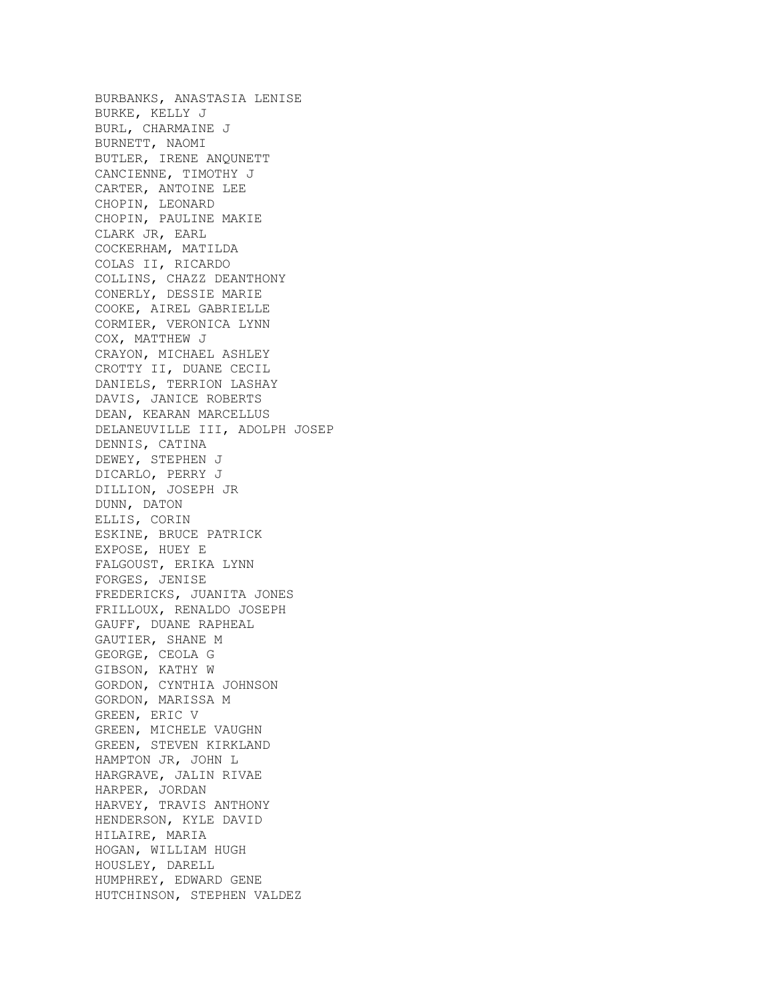BURBANKS, ANASTASIA LENISE BURKE, KELLY J BURL, CHARMAINE J BURNETT, NAOMI BUTLER, IRENE ANQUNETT CANCIENNE, TIMOTHY J CARTER, ANTOINE LEE CHOPIN, LEONARD CHOPIN, PAULINE MAKIE CLARK JR, EARL COCKERHAM, MATILDA COLAS II, RICARDO COLLINS, CHAZZ DEANTHONY CONERLY, DESSIE MARIE COOKE, AIREL GABRIELLE CORMIER, VERONICA LYNN COX, MATTHEW J CRAYON, MICHAEL ASHLEY CROTTY II, DUANE CECIL DANIELS, TERRION LASHAY DAVIS, JANICE ROBERTS DEAN, KEARAN MARCELLUS DELANEUVILLE III, ADOLPH JOSEP DENNIS, CATINA DEWEY, STEPHEN J DICARLO, PERRY J DILLION, JOSEPH JR DUNN, DATON ELLIS, CORIN ESKINE, BRUCE PATRICK EXPOSE, HUEY E FALGOUST, ERIKA LYNN FORGES, JENISE FREDERICKS, JUANITA JONES FRILLOUX, RENALDO JOSEPH GAUFF, DUANE RAPHEAL GAUTIER, SHANE M GEORGE, CEOLA G GIBSON, KATHY W GORDON, CYNTHIA JOHNSON GORDON, MARISSA M GREEN, ERIC V GREEN, MICHELE VAUGHN GREEN, STEVEN KIRKLAND HAMPTON JR, JOHN L HARGRAVE, JALIN RIVAE HARPER, JORDAN HARVEY, TRAVIS ANTHONY HENDERSON, KYLE DAVID HILAIRE, MARIA HOGAN, WILLIAM HUGH HOUSLEY, DARELL HUMPHREY, EDWARD GENE HUTCHINSON, STEPHEN VALDEZ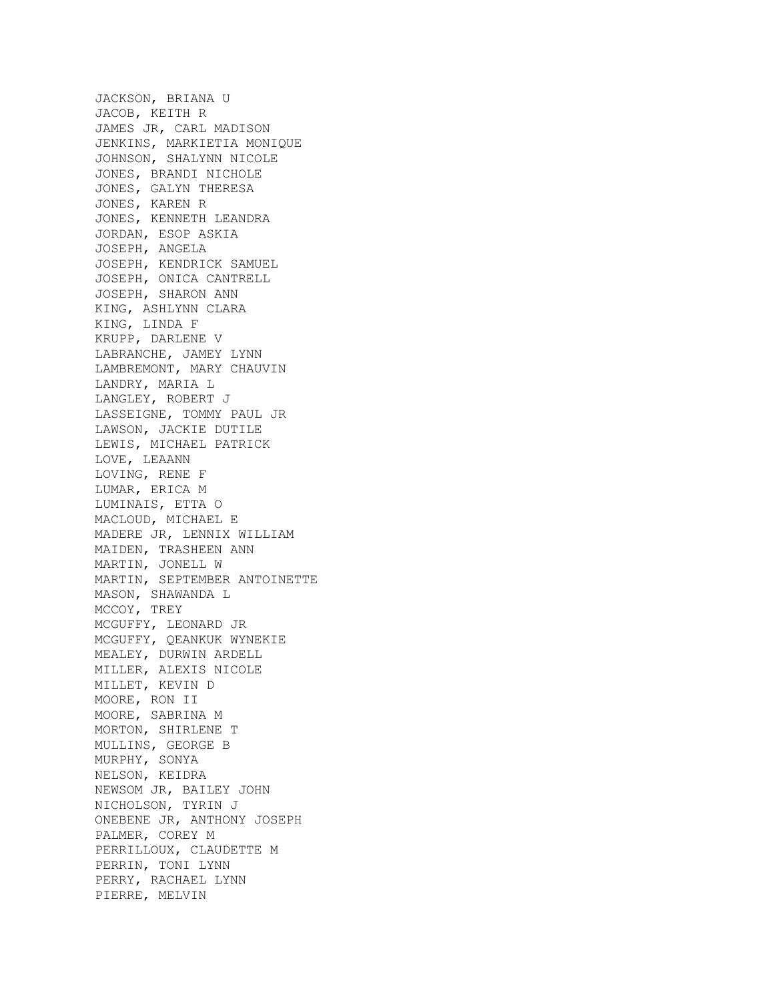JACKSON, BRIANA U JACOB, KEITH R JAMES JR, CARL MADISON JENKINS, MARKIETIA MONIQUE JOHNSON, SHALYNN NICOLE JONES, BRANDI NICHOLE JONES, GALYN THERESA JONES, KAREN R JONES, KENNETH LEANDRA JORDAN, ESOP ASKIA JOSEPH, ANGELA JOSEPH, KENDRICK SAMUEL JOSEPH, ONICA CANTRELL JOSEPH, SHARON ANN KING, ASHLYNN CLARA KING, LINDA F KRUPP, DARLENE V LABRANCHE, JAMEY LYNN LAMBREMONT, MARY CHAUVIN LANDRY, MARIA L LANGLEY, ROBERT J LASSEIGNE, TOMMY PAUL JR LAWSON, JACKIE DUTILE LEWIS, MICHAEL PATRICK LOVE, LEAANN LOVING, RENE F LUMAR, ERICA M LUMINAIS, ETTA O MACLOUD, MICHAEL E MADERE JR, LENNIX WILLIAM MAIDEN, TRASHEEN ANN MARTIN, JONELL W MARTIN, SEPTEMBER ANTOINETTE MASON, SHAWANDA L MCCOY, TREY MCGUFFY, LEONARD JR MCGUFFY, QEANKUK WYNEKIE MEALEY, DURWIN ARDELL MILLER, ALEXIS NICOLE MILLET, KEVIN D MOORE, RON II MOORE, SABRINA M MORTON, SHIRLENE T MULLINS, GEORGE B MURPHY, SONYA NELSON, KEIDRA NEWSOM JR, BAILEY JOHN NICHOLSON, TYRIN J ONEBENE JR, ANTHONY JOSEPH PALMER, COREY M PERRILLOUX, CLAUDETTE M PERRIN, TONI LYNN PERRY, RACHAEL LYNN PIERRE, MELVIN